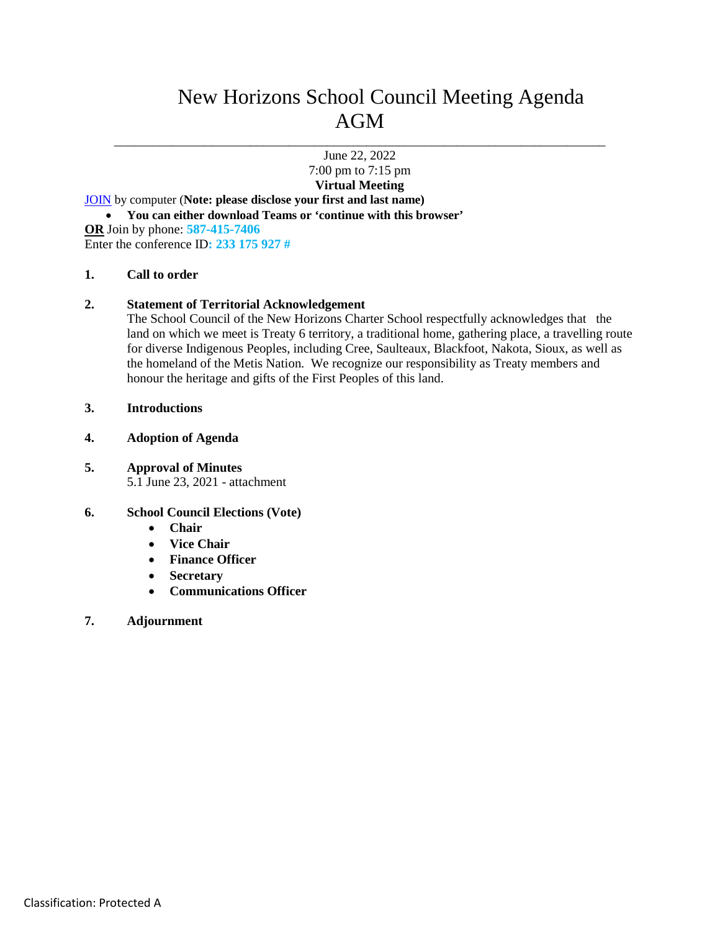# New Horizons School Council Meeting Agenda AGM

\_\_\_\_\_\_\_\_\_\_\_\_\_\_\_\_\_\_\_\_\_\_\_\_\_\_\_\_\_\_\_\_\_\_\_\_\_\_\_\_\_\_\_\_\_\_\_\_\_\_\_\_\_\_\_\_\_\_\_\_\_\_\_\_\_\_\_\_\_\_\_\_\_\_\_\_ June 22, 2022

> 7:00 pm to 7:15 pm **Virtual Meeting**

[JOIN](https://teams.microsoft.com/l/meetup-join/19%3ameeting_ZWI2NGE3MWYtMDhjYy00NDQ0LTkwNmItMmRjOTE5MWVlMzcw%40thread.v2/0?context=%7b%22Tid%22%3a%222bb51c06-af9b-42c5-8bf5-3c3b7b10850b%22%2c%22Oid%22%3a%22348d8540-ccb5-4a54-8f1c-202e9b590353%22%7d) by computer (**Note: please disclose your first and last name)**

- **You can either download Teams or 'continue with this browser'**
- **OR** Join by phone: **587-415-7406**

Enter the conference ID**: 233 175 927 #**

## **1. Call to order**

## **2. Statement of Territorial Acknowledgement**

The School Council of the New Horizons Charter School respectfully acknowledges that the land on which we meet is Treaty 6 territory, a traditional home, gathering place, a travelling route for diverse Indigenous Peoples, including Cree, Saulteaux, Blackfoot, Nakota, Sioux, as well as the homeland of the Metis Nation. We recognize our responsibility as Treaty members and honour the heritage and gifts of the First Peoples of this land.

- **3. Introductions**
- **4. Adoption of Agenda**

## **5. Approval of Minutes**

5.1 June 23, 2021 - attachment

#### **6. School Council Elections (Vote)**

- **Chair**
- **Vice Chair**
- **Finance Officer**
- **Secretary**
- **Communications Officer**

#### **7. Adjournment**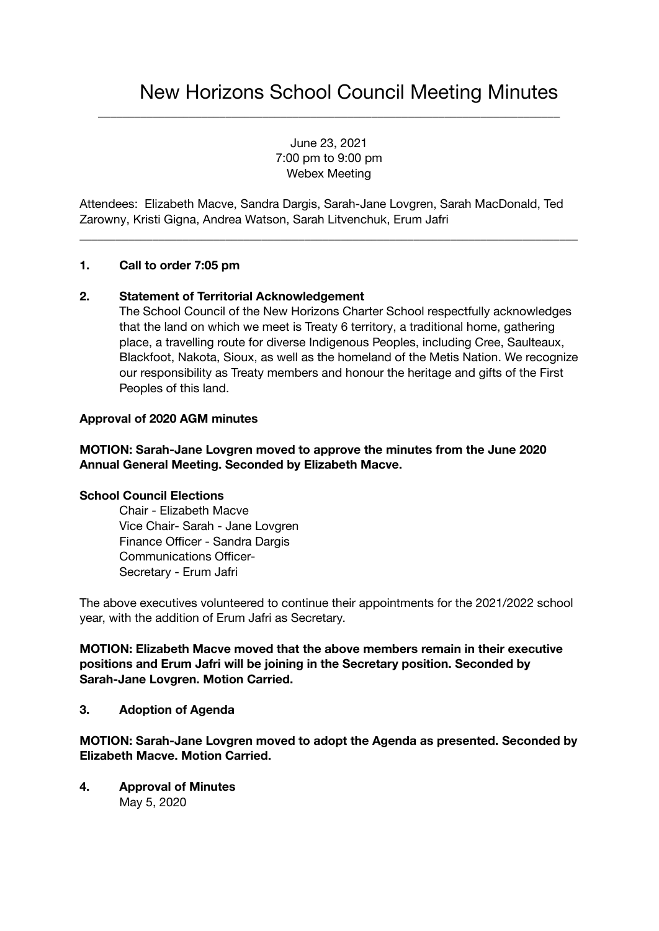June 23, 2021 7:00 pm to 9:00 pm Webex Meeting

\_\_\_\_\_\_\_\_\_\_\_\_\_\_\_\_\_\_\_\_\_\_\_\_\_\_\_\_\_\_\_\_\_\_\_\_\_\_\_\_\_\_\_\_\_\_\_\_\_\_\_\_\_\_\_\_\_\_\_\_\_\_\_\_\_\_\_\_\_\_\_\_\_\_\_\_

Attendees: Elizabeth Macve, Sandra Dargis, Sarah-Jane Lovgren, Sarah MacDonald, Ted Zarowny, Kristi Gigna, Andrea Watson, Sarah Litvenchuk, Erum Jafri

\_\_\_\_\_\_\_\_\_\_\_\_\_\_\_\_\_\_\_\_\_\_\_\_\_\_\_\_\_\_\_\_\_\_\_\_\_\_\_\_\_\_\_\_\_\_\_\_\_\_\_\_\_\_\_\_\_\_\_\_\_\_\_\_\_\_\_\_\_\_\_\_\_\_\_\_\_\_\_\_\_\_

## **1. Call to order 7:05 pm**

## **2. Statement of Territorial Acknowledgement**

The School Council of the New Horizons Charter School respectfully acknowledges that the land on which we meet is Treaty 6 territory, a traditional home, gathering place, a travelling route for diverse Indigenous Peoples, including Cree, Saulteaux, Blackfoot, Nakota, Sioux, as well as the homeland of the Metis Nation. We recognize our responsibility as Treaty members and honour the heritage and gifts of the First Peoples of this land.

#### **Approval of 2020 AGM minutes**

## **MOTION: Sarah-Jane Lovgren moved to approve the minutes from the June 2020 Annual General Meeting. Seconded by Elizabeth Macve.**

## **School Council Elections**

Chair - Elizabeth Macve Vice Chair- Sarah - Jane Lovgren Finance Officer - Sandra Dargis Communications Officer-Secretary - Erum Jafri

The above executives volunteered to continue their appointments for the 2021/2022 school year, with the addition of Erum Jafri as Secretary.

**MOTION: Elizabeth Macve moved that the above members remain in their executive positions and Erum Jafri will be joining in the Secretary position. Seconded by Sarah-Jane Lovgren. Motion Carried.**

#### **3. Adoption of Agenda**

**MOTION: Sarah-Jane Lovgren moved to adopt the Agenda as presented. Seconded by Elizabeth Macve. Motion Carried.**

**4. Approval of Minutes** May 5, 2020